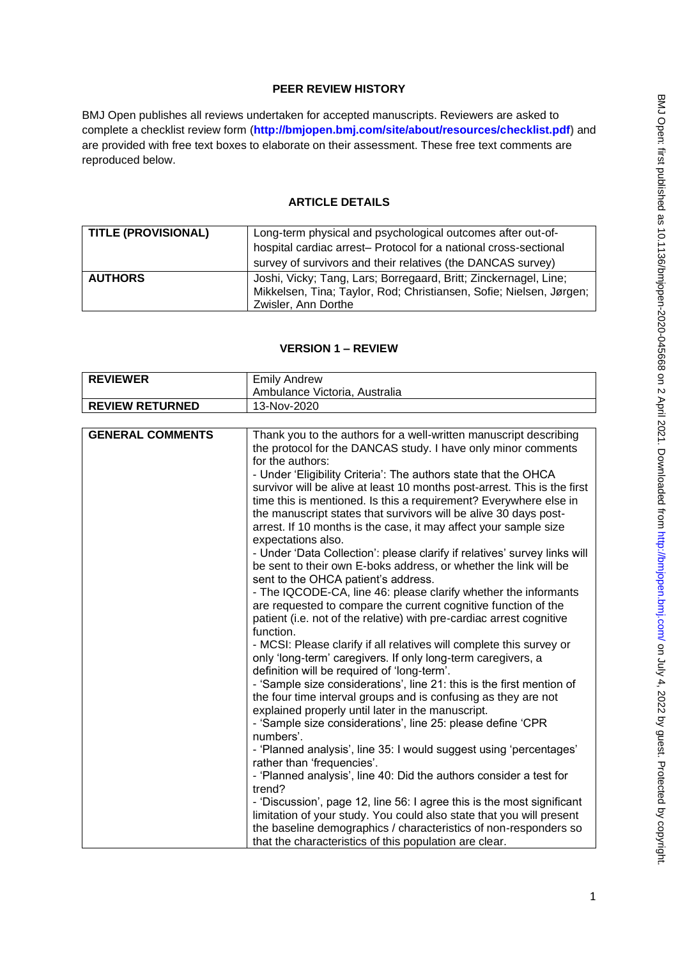# **PEER REVIEW HISTORY**

BMJ Open publishes all reviews undertaken for accepted manuscripts. Reviewers are asked to complete a checklist review form (**[http://bmjopen.bmj.com/site/about/resources/checklist.pdf\)](http://bmjopen.bmj.com/site/about/resources/checklist.pdf)** and are provided with free text boxes to elaborate on their assessment. These free text comments are reproduced below.

# **ARTICLE DETAILS**

| <b>TITLE (PROVISIONAL)</b> | Long-term physical and psychological outcomes after out-of-         |
|----------------------------|---------------------------------------------------------------------|
|                            | hospital cardiac arrest- Protocol for a national cross-sectional    |
|                            | survey of survivors and their relatives (the DANCAS survey)         |
| <b>AUTHORS</b>             | Joshi, Vicky; Tang, Lars; Borregaard, Britt; Zinckernagel, Line;    |
|                            | Mikkelsen, Tina; Taylor, Rod; Christiansen, Sofie; Nielsen, Jørgen; |
|                            | Zwisler, Ann Dorthe                                                 |

# **VERSION 1 – REVIEW**

| <b>REVIEWER</b>         | <b>Emily Andrew</b>                                                                                                                                                                                                                                                                                                                                                                                                                                                                                                                                                                                                                                                                                                                                                                                                                                                                                                                                                                                                                                                                                                                                                                                                                                                                                                                                                                                                                                                                                                                                                                                                                                                                                                                                                 |
|-------------------------|---------------------------------------------------------------------------------------------------------------------------------------------------------------------------------------------------------------------------------------------------------------------------------------------------------------------------------------------------------------------------------------------------------------------------------------------------------------------------------------------------------------------------------------------------------------------------------------------------------------------------------------------------------------------------------------------------------------------------------------------------------------------------------------------------------------------------------------------------------------------------------------------------------------------------------------------------------------------------------------------------------------------------------------------------------------------------------------------------------------------------------------------------------------------------------------------------------------------------------------------------------------------------------------------------------------------------------------------------------------------------------------------------------------------------------------------------------------------------------------------------------------------------------------------------------------------------------------------------------------------------------------------------------------------------------------------------------------------------------------------------------------------|
|                         | Ambulance Victoria, Australia                                                                                                                                                                                                                                                                                                                                                                                                                                                                                                                                                                                                                                                                                                                                                                                                                                                                                                                                                                                                                                                                                                                                                                                                                                                                                                                                                                                                                                                                                                                                                                                                                                                                                                                                       |
| <b>REVIEW RETURNED</b>  | 13-Nov-2020                                                                                                                                                                                                                                                                                                                                                                                                                                                                                                                                                                                                                                                                                                                                                                                                                                                                                                                                                                                                                                                                                                                                                                                                                                                                                                                                                                                                                                                                                                                                                                                                                                                                                                                                                         |
|                         |                                                                                                                                                                                                                                                                                                                                                                                                                                                                                                                                                                                                                                                                                                                                                                                                                                                                                                                                                                                                                                                                                                                                                                                                                                                                                                                                                                                                                                                                                                                                                                                                                                                                                                                                                                     |
| <b>GENERAL COMMENTS</b> | Thank you to the authors for a well-written manuscript describing<br>the protocol for the DANCAS study. I have only minor comments<br>for the authors:<br>- Under 'Eligibility Criteria': The authors state that the OHCA<br>survivor will be alive at least 10 months post-arrest. This is the first<br>time this is mentioned. Is this a requirement? Everywhere else in<br>the manuscript states that survivors will be alive 30 days post-<br>arrest. If 10 months is the case, it may affect your sample size<br>expectations also.<br>- Under 'Data Collection': please clarify if relatives' survey links will<br>be sent to their own E-boks address, or whether the link will be<br>sent to the OHCA patient's address.<br>- The IQCODE-CA, line 46: please clarify whether the informants<br>are requested to compare the current cognitive function of the<br>patient (i.e. not of the relative) with pre-cardiac arrest cognitive<br>function.<br>- MCSI: Please clarify if all relatives will complete this survey or<br>only 'long-term' caregivers. If only long-term caregivers, a<br>definition will be required of 'long-term'.<br>- 'Sample size considerations', line 21: this is the first mention of<br>the four time interval groups and is confusing as they are not<br>explained properly until later in the manuscript.<br>- 'Sample size considerations', line 25: please define 'CPR<br>numbers'.<br>- 'Planned analysis', line 35: I would suggest using 'percentages'<br>rather than 'frequencies'.<br>- 'Planned analysis', line 40: Did the authors consider a test for<br>trend?<br>- 'Discussion', page 12, line 56: I agree this is the most significant<br>limitation of your study. You could also state that you will present |
|                         | that the characteristics of this population are clear.                                                                                                                                                                                                                                                                                                                                                                                                                                                                                                                                                                                                                                                                                                                                                                                                                                                                                                                                                                                                                                                                                                                                                                                                                                                                                                                                                                                                                                                                                                                                                                                                                                                                                                              |
|                         | the baseline demographics / characteristics of non-responders so                                                                                                                                                                                                                                                                                                                                                                                                                                                                                                                                                                                                                                                                                                                                                                                                                                                                                                                                                                                                                                                                                                                                                                                                                                                                                                                                                                                                                                                                                                                                                                                                                                                                                                    |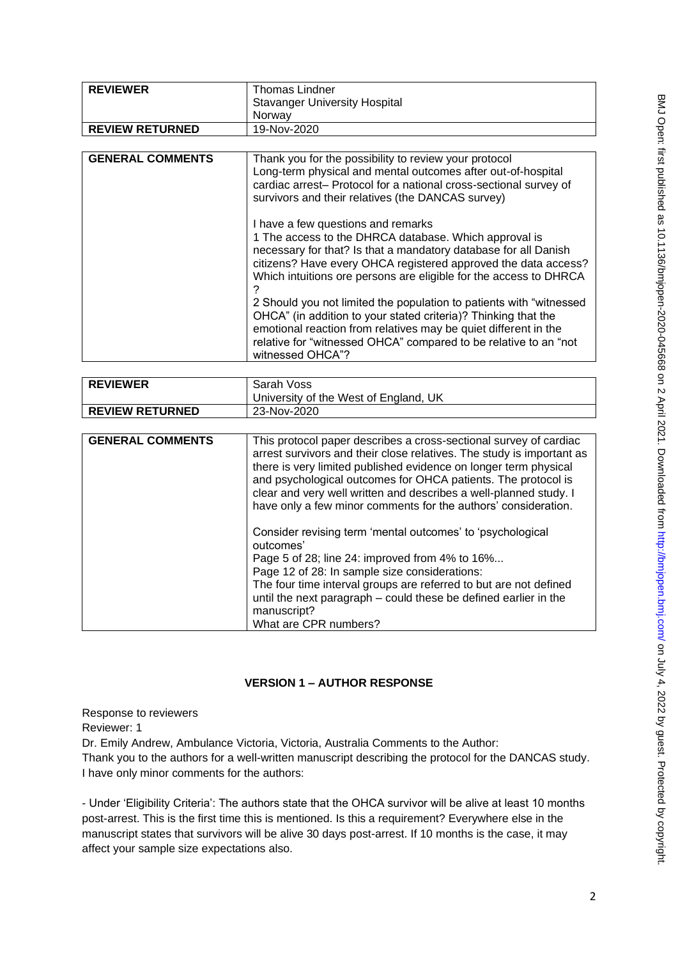| <b>REVIEWER</b>         | <b>Thomas Lindner</b>                                                                                                                                                                                                                                                                                                                                                                                                                                                                                                                                                                                                                                                                                                                                                                                                                                        |
|-------------------------|--------------------------------------------------------------------------------------------------------------------------------------------------------------------------------------------------------------------------------------------------------------------------------------------------------------------------------------------------------------------------------------------------------------------------------------------------------------------------------------------------------------------------------------------------------------------------------------------------------------------------------------------------------------------------------------------------------------------------------------------------------------------------------------------------------------------------------------------------------------|
|                         | <b>Stavanger University Hospital</b>                                                                                                                                                                                                                                                                                                                                                                                                                                                                                                                                                                                                                                                                                                                                                                                                                         |
|                         | Norway                                                                                                                                                                                                                                                                                                                                                                                                                                                                                                                                                                                                                                                                                                                                                                                                                                                       |
| <b>REVIEW RETURNED</b>  | 19-Nov-2020                                                                                                                                                                                                                                                                                                                                                                                                                                                                                                                                                                                                                                                                                                                                                                                                                                                  |
|                         |                                                                                                                                                                                                                                                                                                                                                                                                                                                                                                                                                                                                                                                                                                                                                                                                                                                              |
| <b>GENERAL COMMENTS</b> | Thank you for the possibility to review your protocol<br>Long-term physical and mental outcomes after out-of-hospital<br>cardiac arrest- Protocol for a national cross-sectional survey of<br>survivors and their relatives (the DANCAS survey)<br>I have a few questions and remarks<br>1 The access to the DHRCA database. Which approval is<br>necessary for that? Is that a mandatory database for all Danish<br>citizens? Have every OHCA registered approved the data access?<br>Which intuitions ore persons are eligible for the access to DHRCA<br>2 Should you not limited the population to patients with "witnessed<br>OHCA" (in addition to your stated criteria)? Thinking that the<br>emotional reaction from relatives may be quiet different in the<br>relative for "witnessed OHCA" compared to be relative to an "not<br>witnessed OHCA"? |
|                         |                                                                                                                                                                                                                                                                                                                                                                                                                                                                                                                                                                                                                                                                                                                                                                                                                                                              |
| <b>REVIEWER</b>         | Sarah Voss<br>University of the West of England, UK                                                                                                                                                                                                                                                                                                                                                                                                                                                                                                                                                                                                                                                                                                                                                                                                          |
| <b>REVIEW RETURNED</b>  | 23-Nov-2020                                                                                                                                                                                                                                                                                                                                                                                                                                                                                                                                                                                                                                                                                                                                                                                                                                                  |
|                         |                                                                                                                                                                                                                                                                                                                                                                                                                                                                                                                                                                                                                                                                                                                                                                                                                                                              |
| <b>GENERAL COMMENTS</b> | This protocol paper describes a cross-sectional survey of cardiac<br>arrest survivors and their close relatives. The study is important as<br>there is very limited published evidence on longer term physical<br>and psychological outcomes for OHCA patients. The protocol is<br>clear and very well written and describes a well-planned study. I<br>have only a few minor comments for the authors' consideration.<br>Consider revising term 'mental outcomes' to 'psychological<br>outcomes'<br>Page 5 of 28; line 24: improved from 4% to 16%<br>Page 12 of 28: In sample size considerations:                                                                                                                                                                                                                                                         |

| outcomes'                                                         |
|-------------------------------------------------------------------|
| Page 5 of 28; line 24: improved from 4% to 16%                    |
| Page 12 of 28: In sample size considerations:                     |
| The four time interval groups are referred to but are not defined |
| until the next paragraph – could these be defined earlier in the  |
| manuscript?                                                       |
| What are CPR numbers?                                             |

# **VERSION 1 – AUTHOR RESPONSE**

**REVIEWER** Thomas Lindner

Response to reviewers Reviewer: 1 Dr. Emily Andrew, Ambulance Victoria, Victoria, Australia Comments to the Author: Thank you to the authors for a well-written manuscript describing the protocol for the DANCAS study. I have only minor comments for the authors:

- Under 'Eligibility Criteria': The authors state that the OHCA survivor will be alive at least 10 months post-arrest. This is the first time this is mentioned. Is this a requirement? Everywhere else in the manuscript states that survivors will be alive 30 days post-arrest. If 10 months is the case, it may affect your sample size expectations also.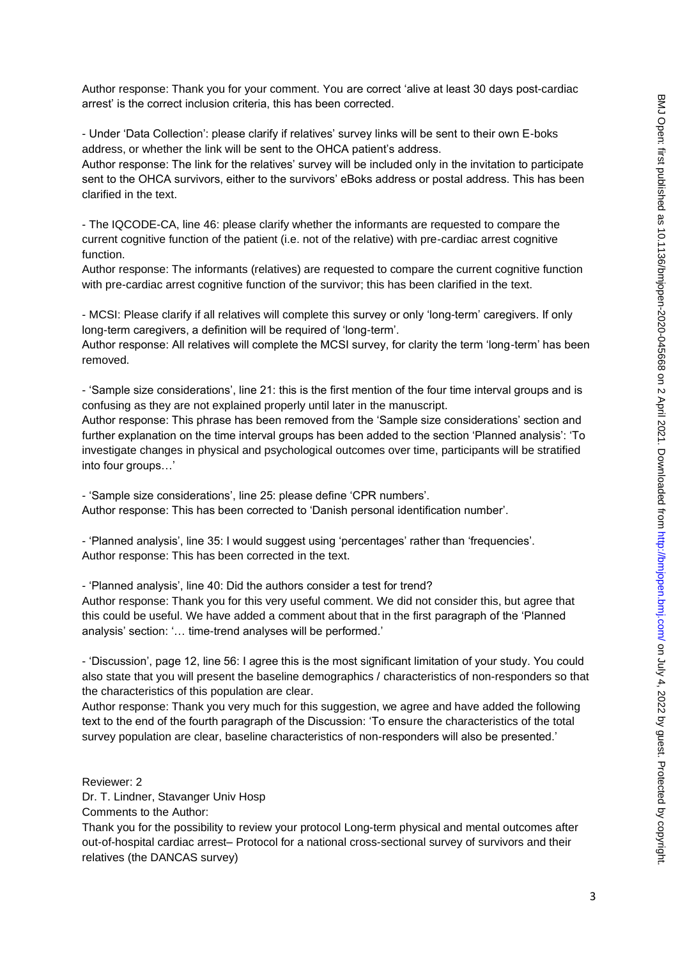Author response: Thank you for your comment. You are correct 'alive at least 30 days post-cardiac arrest' is the correct inclusion criteria, this has been corrected.

- Under 'Data Collection': please clarify if relatives' survey links will be sent to their own E-boks address, or whether the link will be sent to the OHCA patient's address.

Author response: The link for the relatives' survey will be included only in the invitation to participate sent to the OHCA survivors, either to the survivors' eBoks address or postal address. This has been clarified in the text.

- The IQCODE-CA, line 46: please clarify whether the informants are requested to compare the current cognitive function of the patient (i.e. not of the relative) with pre-cardiac arrest cognitive function.

Author response: The informants (relatives) are requested to compare the current cognitive function with pre-cardiac arrest cognitive function of the survivor; this has been clarified in the text.

- MCSI: Please clarify if all relatives will complete this survey or only 'long-term' caregivers. If only long-term caregivers, a definition will be required of 'long-term'.

Author response: All relatives will complete the MCSI survey, for clarity the term 'long-term' has been removed.

- 'Sample size considerations', line 21: this is the first mention of the four time interval groups and is confusing as they are not explained properly until later in the manuscript.

Author response: This phrase has been removed from the 'Sample size considerations' section and further explanation on the time interval groups has been added to the section 'Planned analysis': 'To investigate changes in physical and psychological outcomes over time, participants will be stratified into four groups…'

- 'Sample size considerations', line 25: please define 'CPR numbers'. Author response: This has been corrected to 'Danish personal identification number'.

- 'Planned analysis', line 35: I would suggest using 'percentages' rather than 'frequencies'. Author response: This has been corrected in the text.

- 'Planned analysis', line 40: Did the authors consider a test for trend?

Author response: Thank you for this very useful comment. We did not consider this, but agree that this could be useful. We have added a comment about that in the first paragraph of the 'Planned analysis' section: '… time-trend analyses will be performed.'

- 'Discussion', page 12, line 56: I agree this is the most significant limitation of your study. You could also state that you will present the baseline demographics / characteristics of non-responders so that the characteristics of this population are clear.

Author response: Thank you very much for this suggestion, we agree and have added the following text to the end of the fourth paragraph of the Discussion: 'To ensure the characteristics of the total survey population are clear, baseline characteristics of non-responders will also be presented.'

Reviewer: 2

Dr. T. Lindner, Stavanger Univ Hosp

Comments to the Author:

Thank you for the possibility to review your protocol Long-term physical and mental outcomes after out-of-hospital cardiac arrest– Protocol for a national cross-sectional survey of survivors and their relatives (the DANCAS survey)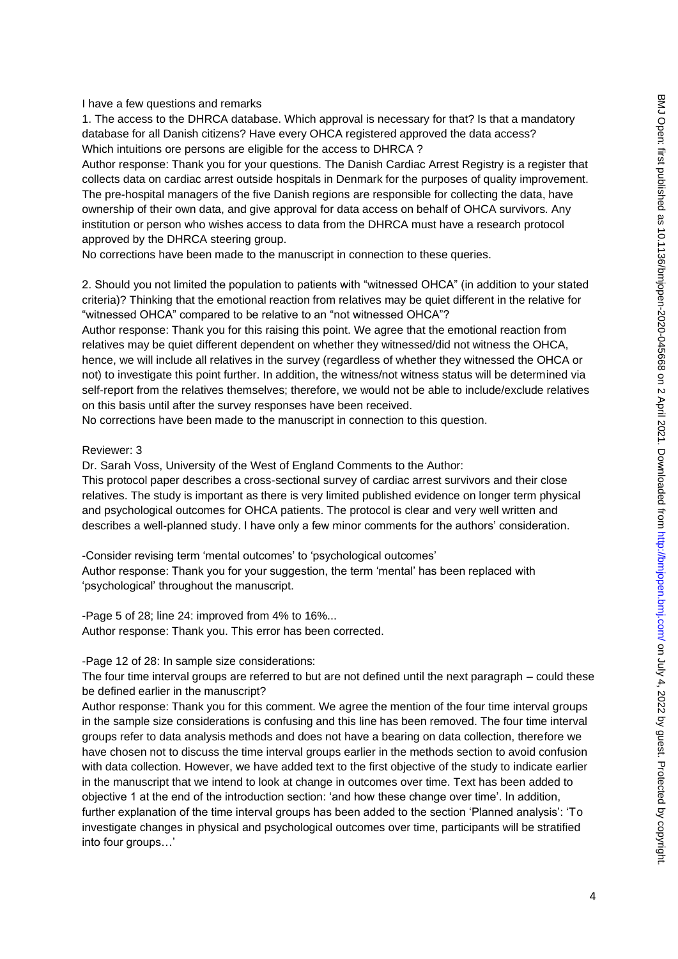## I have a few questions and remarks

1. The access to the DHRCA database. Which approval is necessary for that? Is that a mandatory database for all Danish citizens? Have every OHCA registered approved the data access? Which intuitions ore persons are eligible for the access to DHRCA ?

Author response: Thank you for your questions. The Danish Cardiac Arrest Registry is a register that collects data on cardiac arrest outside hospitals in Denmark for the purposes of quality improvement. The pre-hospital managers of the five Danish regions are responsible for collecting the data, have ownership of their own data, and give approval for data access on behalf of OHCA survivors. Any institution or person who wishes access to data from the DHRCA must have a research protocol approved by the DHRCA steering group.

No corrections have been made to the manuscript in connection to these queries.

2. Should you not limited the population to patients with "witnessed OHCA" (in addition to your stated criteria)? Thinking that the emotional reaction from relatives may be quiet different in the relative for "witnessed OHCA" compared to be relative to an "not witnessed OHCA"?

Author response: Thank you for this raising this point. We agree that the emotional reaction from relatives may be quiet different dependent on whether they witnessed/did not witness the OHCA, hence, we will include all relatives in the survey (regardless of whether they witnessed the OHCA or not) to investigate this point further. In addition, the witness/not witness status will be determined via self-report from the relatives themselves; therefore, we would not be able to include/exclude relatives on this basis until after the survey responses have been received.

No corrections have been made to the manuscript in connection to this question.

#### Reviewer: 3

Dr. Sarah Voss, University of the West of England Comments to the Author:

This protocol paper describes a cross-sectional survey of cardiac arrest survivors and their close relatives. The study is important as there is very limited published evidence on longer term physical and psychological outcomes for OHCA patients. The protocol is clear and very well written and describes a well-planned study. I have only a few minor comments for the authors' consideration.

-Consider revising term 'mental outcomes' to 'psychological outcomes' Author response: Thank you for your suggestion, the term 'mental' has been replaced with 'psychological' throughout the manuscript.

-Page 5 of 28; line 24: improved from 4% to 16%... Author response: Thank you. This error has been corrected.

#### -Page 12 of 28: In sample size considerations:

The four time interval groups are referred to but are not defined until the next paragraph – could these be defined earlier in the manuscript?

Author response: Thank you for this comment. We agree the mention of the four time interval groups in the sample size considerations is confusing and this line has been removed. The four time interval groups refer to data analysis methods and does not have a bearing on data collection, therefore we have chosen not to discuss the time interval groups earlier in the methods section to avoid confusion with data collection. However, we have added text to the first objective of the study to indicate earlier in the manuscript that we intend to look at change in outcomes over time. Text has been added to objective 1 at the end of the introduction section: 'and how these change over time'. In addition, further explanation of the time interval groups has been added to the section 'Planned analysis': 'To investigate changes in physical and psychological outcomes over time, participants will be stratified into four groups…'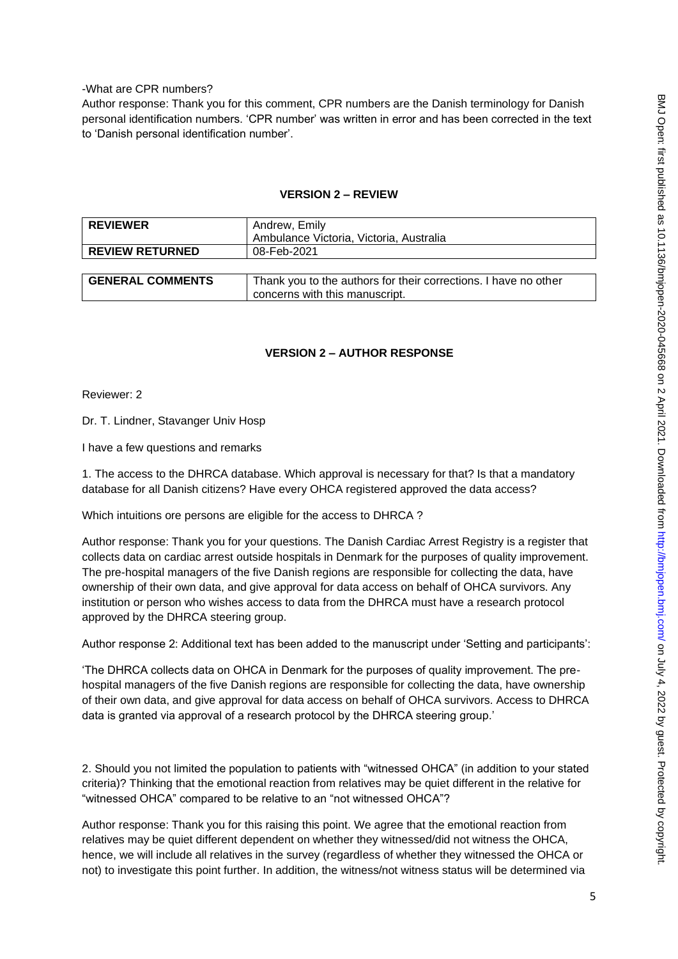## -What are CPR numbers?

Author response: Thank you for this comment, CPR numbers are the Danish terminology for Danish personal identification numbers. 'CPR number' was written in error and has been corrected in the text to 'Danish personal identification number'.

| <b>REVIEWER</b>         | Andrew, Emily                                                                                     |
|-------------------------|---------------------------------------------------------------------------------------------------|
|                         | Ambulance Victoria, Victoria, Australia                                                           |
| <b>REVIEW RETURNED</b>  | 08-Feb-2021                                                                                       |
|                         |                                                                                                   |
| <b>GENERAL COMMENTS</b> | Thank you to the authors for their corrections. I have no other<br>concerns with this manuscript. |

## **VERSION 2 – REVIEW**

### **VERSION 2 – AUTHOR RESPONSE**

Reviewer: 2

Dr. T. Lindner, Stavanger Univ Hosp

I have a few questions and remarks

1. The access to the DHRCA database. Which approval is necessary for that? Is that a mandatory database for all Danish citizens? Have every OHCA registered approved the data access?

Which intuitions ore persons are eligible for the access to DHRCA ?

Author response: Thank you for your questions. The Danish Cardiac Arrest Registry is a register that collects data on cardiac arrest outside hospitals in Denmark for the purposes of quality improvement. The pre-hospital managers of the five Danish regions are responsible for collecting the data, have ownership of their own data, and give approval for data access on behalf of OHCA survivors. Any institution or person who wishes access to data from the DHRCA must have a research protocol approved by the DHRCA steering group.

Author response 2: Additional text has been added to the manuscript under 'Setting and participants':

'The DHRCA collects data on OHCA in Denmark for the purposes of quality improvement. The prehospital managers of the five Danish regions are responsible for collecting the data, have ownership of their own data, and give approval for data access on behalf of OHCA survivors. Access to DHRCA data is granted via approval of a research protocol by the DHRCA steering group.'

2. Should you not limited the population to patients with "witnessed OHCA" (in addition to your stated criteria)? Thinking that the emotional reaction from relatives may be quiet different in the relative for "witnessed OHCA" compared to be relative to an "not witnessed OHCA"?

Author response: Thank you for this raising this point. We agree that the emotional reaction from relatives may be quiet different dependent on whether they witnessed/did not witness the OHCA, hence, we will include all relatives in the survey (regardless of whether they witnessed the OHCA or not) to investigate this point further. In addition, the witness/not witness status will be determined via